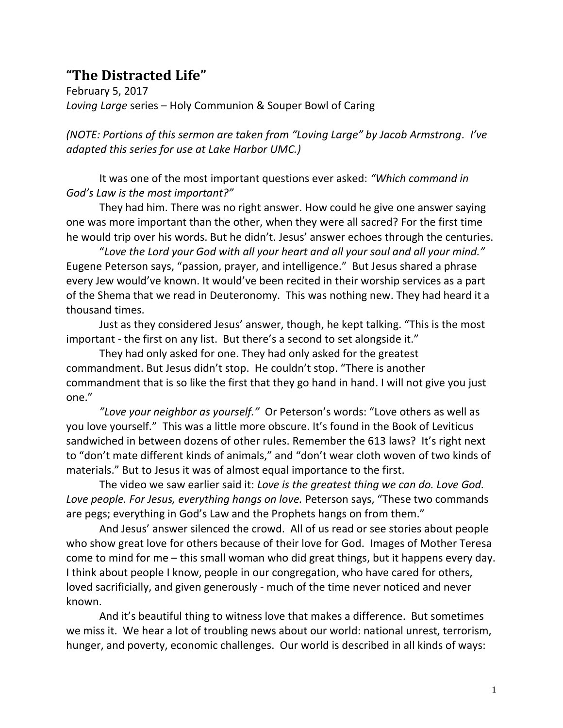## **"The Distracted Life"**

February 5, 2017 *Loving Large* series – Holy Communion & Souper Bowl of Caring

*(NOTE: Portions of this sermon are taken from "Loving Large" by Jacob Armstrong. I've adapted this series for use at Lake Harbor UMC.)*

It was one of the most important questions ever asked: *"Which command in God's Law is the most important?"*

They had him. There was no right answer. How could he give one answer saying one was more important than the other, when they were all sacred? For the first time he would trip over his words. But he didn't. Jesus' answer echoes through the centuries.

"*Love the Lord your God with all your heart and all your soul and all your mind."* Eugene Peterson says, "passion, prayer, and intelligence." But Jesus shared a phrase every Jew would've known. It would've been recited in their worship services as a part of the Shema that we read in Deuteronomy. This was nothing new. They had heard it a thousand times.

Just as they considered Jesus' answer, though, he kept talking. "This is the most important - the first on any list. But there's a second to set alongside it."

They had only asked for one. They had only asked for the greatest commandment. But Jesus didn't stop. He couldn't stop. "There is another commandment that is so like the first that they go hand in hand. I will not give you just one."

*"Love your neighbor as yourself."* Or Peterson's words: "Love others as well as you love yourself." This was a little more obscure. It's found in the Book of Leviticus sandwiched in between dozens of other rules. Remember the 613 laws? It's right next to "don't mate different kinds of animals," and "don't wear cloth woven of two kinds of materials." But to Jesus it was of almost equal importance to the first.

The video we saw earlier said it: *Love is the greatest thing we can do. Love God.*  Love people. For Jesus, everything hangs on love. Peterson says, "These two commands are pegs; everything in God's Law and the Prophets hangs on from them."

And Jesus' answer silenced the crowd. All of us read or see stories about people who show great love for others because of their love for God. Images of Mother Teresa come to mind for me – this small woman who did great things, but it happens every day. I think about people I know, people in our congregation, who have cared for others, loved sacrificially, and given generously - much of the time never noticed and never known.

And it's beautiful thing to witness love that makes a difference. But sometimes we miss it. We hear a lot of troubling news about our world: national unrest, terrorism, hunger, and poverty, economic challenges. Our world is described in all kinds of ways: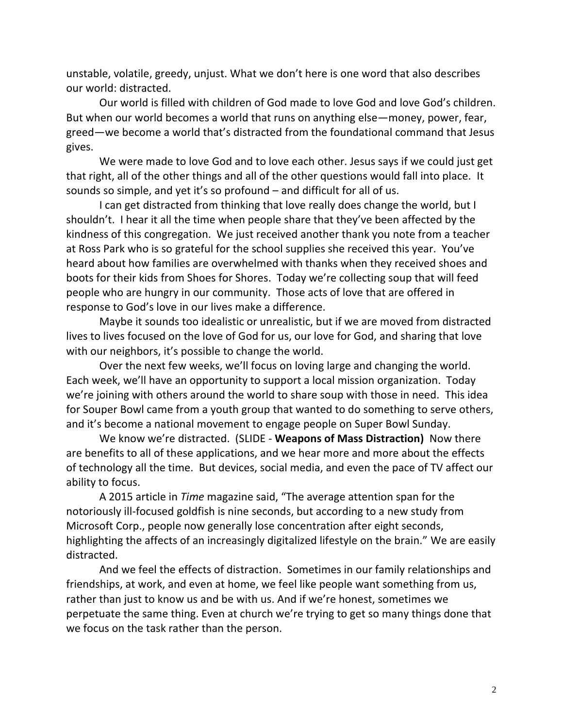unstable, volatile, greedy, unjust. What we don't here is one word that also describes our world: distracted.

Our world is filled with children of God made to love God and love God's children. But when our world becomes a world that runs on anything else—money, power, fear, greed—we become a world that's distracted from the foundational command that Jesus gives.

We were made to love God and to love each other. Jesus says if we could just get that right, all of the other things and all of the other questions would fall into place. It sounds so simple, and yet it's so profound – and difficult for all of us.

I can get distracted from thinking that love really does change the world, but I shouldn't. I hear it all the time when people share that they've been affected by the kindness of this congregation. We just received another thank you note from a teacher at Ross Park who is so grateful for the school supplies she received this year. You've heard about how families are overwhelmed with thanks when they received shoes and boots for their kids from Shoes for Shores. Today we're collecting soup that will feed people who are hungry in our community. Those acts of love that are offered in response to God's love in our lives make a difference.

Maybe it sounds too idealistic or unrealistic, but if we are moved from distracted lives to lives focused on the love of God for us, our love for God, and sharing that love with our neighbors, it's possible to change the world.

Over the next few weeks, we'll focus on loving large and changing the world. Each week, we'll have an opportunity to support a local mission organization. Today we're joining with others around the world to share soup with those in need. This idea for Souper Bowl came from a youth group that wanted to do something to serve others, and it's become a national movement to engage people on Super Bowl Sunday.

We know we're distracted. (SLIDE - **Weapons of Mass Distraction)** Now there are benefits to all of these applications, and we hear more and more about the effects of technology all the time. But devices, social media, and even the pace of TV affect our ability to focus.

A 2015 article in *Time* magazine said, "The average attention span for the notoriously ill-focused goldfish is nine seconds, but according to a [new study](http://advertising.microsoft.com/en/cl/31966/how-does-digital-affect-canadian-attention-spans) from Microsoft Corp., people now generally lose concentration after eight seconds, highlighting the affects of an increasingly digitalized lifestyle on the brain." We are easily distracted.

And we feel the effects of distraction. Sometimes in our family relationships and friendships, at work, and even at home, we feel like people want something from us, rather than just to know us and be with us. And if we're honest, sometimes we perpetuate the same thing. Even at church we're trying to get so many things done that we focus on the task rather than the person.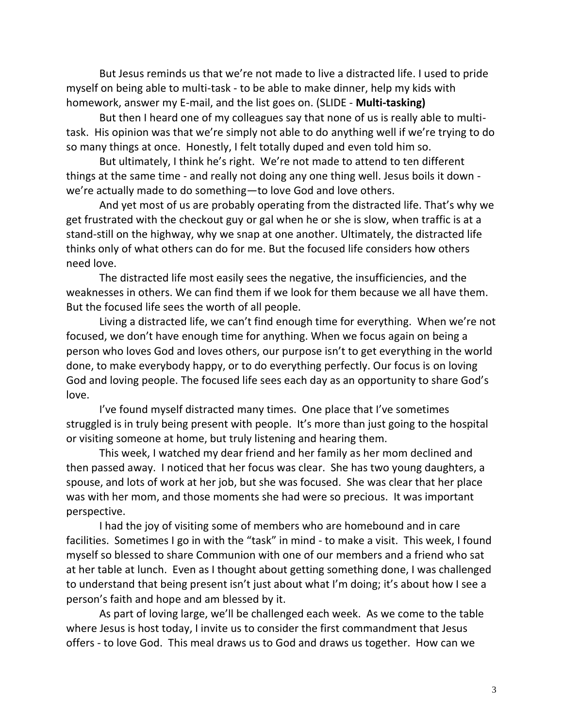But Jesus reminds us that we're not made to live a distracted life. I used to pride myself on being able to multi-task - to be able to make dinner, help my kids with homework, answer my E-mail, and the list goes on. (SLIDE - **Multi-tasking)**

But then I heard one of my colleagues say that none of us is really able to multitask. His opinion was that we're simply not able to do anything well if we're trying to do so many things at once. Honestly, I felt totally duped and even told him so.

But ultimately, I think he's right. We're not made to attend to ten different things at the same time - and really not doing any one thing well. Jesus boils it down we're actually made to do something—to love God and love others.

And yet most of us are probably operating from the distracted life. That's why we get frustrated with the checkout guy or gal when he or she is slow, when traffic is at a stand-still on the highway, why we snap at one another. Ultimately, the distracted life thinks only of what others can do for me. But the focused life considers how others need love.

The distracted life most easily sees the negative, the insufficiencies, and the weaknesses in others. We can find them if we look for them because we all have them. But the focused life sees the worth of all people.

Living a distracted life, we can't find enough time for everything. When we're not focused, we don't have enough time for anything. When we focus again on being a person who loves God and loves others, our purpose isn't to get everything in the world done, to make everybody happy, or to do everything perfectly. Our focus is on loving God and loving people. The focused life sees each day as an opportunity to share God's love.

I've found myself distracted many times. One place that I've sometimes struggled is in truly being present with people. It's more than just going to the hospital or visiting someone at home, but truly listening and hearing them.

This week, I watched my dear friend and her family as her mom declined and then passed away. I noticed that her focus was clear. She has two young daughters, a spouse, and lots of work at her job, but she was focused. She was clear that her place was with her mom, and those moments she had were so precious. It was important perspective.

I had the joy of visiting some of members who are homebound and in care facilities. Sometimes I go in with the "task" in mind - to make a visit. This week, I found myself so blessed to share Communion with one of our members and a friend who sat at her table at lunch. Even as I thought about getting something done, I was challenged to understand that being present isn't just about what I'm doing; it's about how I see a person's faith and hope and am blessed by it.

As part of loving large, we'll be challenged each week. As we come to the table where Jesus is host today, I invite us to consider the first commandment that Jesus offers - to love God. This meal draws us to God and draws us together. How can we